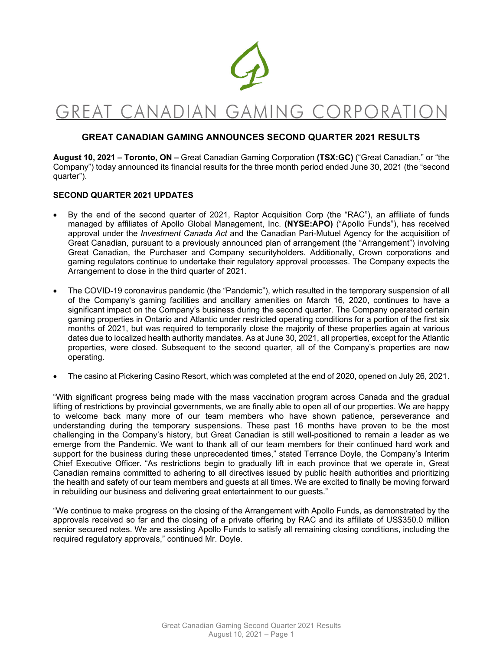

# GREAT CANADIAN GAMING CORPORATION

## **GREAT CANADIAN GAMING ANNOUNCES SECOND QUARTER 2021 RESULTS**

**August 10, 2021 – Toronto, ON –** Great Canadian Gaming Corporation **(TSX:GC)** ("Great Canadian," or "the Company") today announced its financial results for the three month period ended June 30, 2021 (the "second quarter").

### **SECOND QUARTER 2021 UPDATES**

- By the end of the second quarter of 2021, Raptor Acquisition Corp (the "RAC"), an affiliate of funds managed by affiliates of Apollo Global Management, Inc. **(NYSE:APO)** ("Apollo Funds"), has received approval under the *Investment Canada Act* and the Canadian Pari-Mutuel Agency for the acquisition of Great Canadian, pursuant to a previously announced plan of arrangement (the "Arrangement") involving Great Canadian, the Purchaser and Company securityholders. Additionally, Crown corporations and gaming regulators continue to undertake their regulatory approval processes. The Company expects the Arrangement to close in the third quarter of 2021.
- The COVID-19 coronavirus pandemic (the "Pandemic"), which resulted in the temporary suspension of all of the Company's gaming facilities and ancillary amenities on March 16, 2020, continues to have a significant impact on the Company's business during the second quarter. The Company operated certain gaming properties in Ontario and Atlantic under restricted operating conditions for a portion of the first six months of 2021, but was required to temporarily close the majority of these properties again at various dates due to localized health authority mandates. As at June 30, 2021, all properties, except for the Atlantic properties, were closed. Subsequent to the second quarter, all of the Company's properties are now operating.
- The casino at Pickering Casino Resort, which was completed at the end of 2020, opened on July 26, 2021.

"With significant progress being made with the mass vaccination program across Canada and the gradual lifting of restrictions by provincial governments, we are finally able to open all of our properties. We are happy to welcome back many more of our team members who have shown patience, perseverance and understanding during the temporary suspensions. These past 16 months have proven to be the most challenging in the Company's history, but Great Canadian is still well-positioned to remain a leader as we emerge from the Pandemic. We want to thank all of our team members for their continued hard work and support for the business during these unprecedented times," stated Terrance Doyle, the Company's Interim Chief Executive Officer. "As restrictions begin to gradually lift in each province that we operate in, Great Canadian remains committed to adhering to all directives issued by public health authorities and prioritizing the health and safety of our team members and guests at all times. We are excited to finally be moving forward in rebuilding our business and delivering great entertainment to our guests."

"We continue to make progress on the closing of the Arrangement with Apollo Funds, as demonstrated by the approvals received so far and the closing of a private offering by RAC and its affiliate of US\$350.0 million senior secured notes. We are assisting Apollo Funds to satisfy all remaining closing conditions, including the required regulatory approvals," continued Mr. Doyle.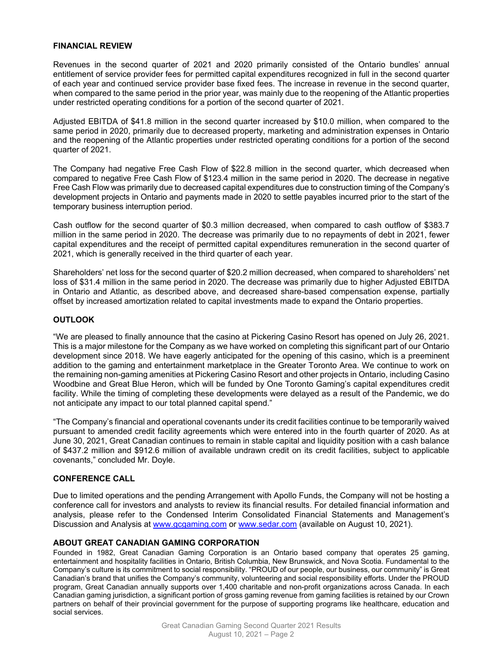#### **FINANCIAL REVIEW**

Revenues in the second quarter of 2021 and 2020 primarily consisted of the Ontario bundles' annual entitlement of service provider fees for permitted capital expenditures recognized in full in the second quarter of each year and continued service provider base fixed fees. The increase in revenue in the second quarter, when compared to the same period in the prior year, was mainly due to the reopening of the Atlantic properties under restricted operating conditions for a portion of the second quarter of 2021.

Adjusted EBITDA of \$41.8 million in the second quarter increased by \$10.0 million, when compared to the same period in 2020, primarily due to decreased property, marketing and administration expenses in Ontario and the reopening of the Atlantic properties under restricted operating conditions for a portion of the second quarter of 2021.

The Company had negative Free Cash Flow of \$22.8 million in the second quarter, which decreased when compared to negative Free Cash Flow of \$123.4 million in the same period in 2020. The decrease in negative Free Cash Flow was primarily due to decreased capital expenditures due to construction timing of the Company's development projects in Ontario and payments made in 2020 to settle payables incurred prior to the start of the temporary business interruption period.

Cash outflow for the second quarter of \$0.3 million decreased, when compared to cash outflow of \$383.7 million in the same period in 2020. The decrease was primarily due to no repayments of debt in 2021, fewer capital expenditures and the receipt of permitted capital expenditures remuneration in the second quarter of 2021, which is generally received in the third quarter of each year.

Shareholders' net loss for the second quarter of \$20.2 million decreased, when compared to shareholders' net loss of \$31.4 million in the same period in 2020. The decrease was primarily due to higher Adjusted EBITDA in Ontario and Atlantic, as described above, and decreased share-based compensation expense, partially offset by increased amortization related to capital investments made to expand the Ontario properties.

### **OUTLOOK**

"We are pleased to finally announce that the casino at Pickering Casino Resort has opened on July 26, 2021. This is a major milestone for the Company as we have worked on completing this significant part of our Ontario development since 2018. We have eagerly anticipated for the opening of this casino, which is a preeminent addition to the gaming and entertainment marketplace in the Greater Toronto Area. We continue to work on the remaining non-gaming amenities at Pickering Casino Resort and other projects in Ontario, including Casino Woodbine and Great Blue Heron, which will be funded by One Toronto Gaming's capital expenditures credit facility. While the timing of completing these developments were delayed as a result of the Pandemic, we do not anticipate any impact to our total planned capital spend."

"The Company's financial and operational covenants under its credit facilities continue to be temporarily waived pursuant to amended credit facility agreements which were entered into in the fourth quarter of 2020. As at June 30, 2021, Great Canadian continues to remain in stable capital and liquidity position with a cash balance of \$437.2 million and \$912.6 million of available undrawn credit on its credit facilities, subject to applicable covenants," concluded Mr. Doyle.

#### **CONFERENCE CALL**

Due to limited operations and the pending Arrangement with Apollo Funds, the Company will not be hosting a conference call for investors and analysts to review its financial results. For detailed financial information and analysis, please refer to the Condensed Interim Consolidated Financial Statements and Management's Discussion and Analysis at www.gcgaming.com or www.sedar.com (available on August 10, 2021).

#### **ABOUT GREAT CANADIAN GAMING CORPORATION**

Founded in 1982, Great Canadian Gaming Corporation is an Ontario based company that operates 25 gaming, entertainment and hospitality facilities in Ontario, British Columbia, New Brunswick, and Nova Scotia. Fundamental to the Company's culture is its commitment to social responsibility. "PROUD of our people, our business, our community" is Great Canadian's brand that unifies the Company's community, volunteering and social responsibility efforts. Under the PROUD program, Great Canadian annually supports over 1,400 charitable and non-profit organizations across Canada. In each Canadian gaming jurisdiction, a significant portion of gross gaming revenue from gaming facilities is retained by our Crown partners on behalf of their provincial government for the purpose of supporting programs like healthcare, education and social services.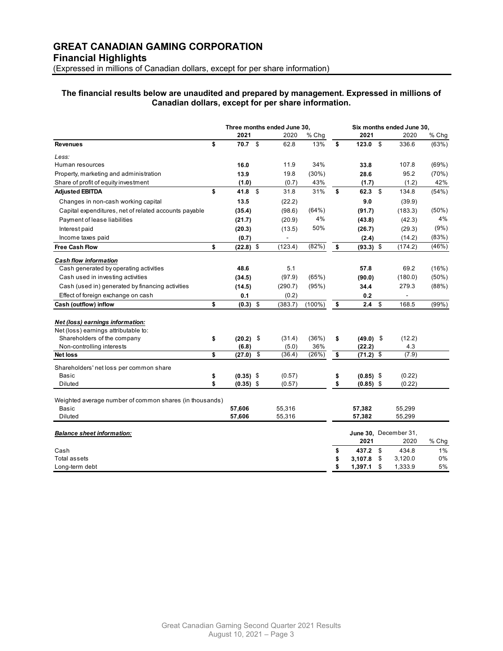#### **The financial results below are unaudited and prepared by management. Expressed in millions of Canadian dollars, except for per share information.**

|                                                         |                   | Three months ended June 30, |         |                 |    | Six months ended June 30, |                         |                       |          |
|---------------------------------------------------------|-------------------|-----------------------------|---------|-----------------|----|---------------------------|-------------------------|-----------------------|----------|
|                                                         | 2021              |                             | 2020    | % Chg           |    | 2021                      |                         | 2020                  | % Chg    |
| <b>Revenues</b>                                         | \$<br>70.7%       |                             | 62.8    | 13%             | \$ | 123.0                     | \$                      | 336.6                 | (63%)    |
| Less:                                                   |                   |                             |         |                 |    |                           |                         |                       |          |
| Human resources                                         | 16.0              |                             | 11.9    | 34%             |    | 33.8                      |                         | 107.8                 | (69%)    |
| Property, marketing and administration                  | 13.9              |                             | 19.8    | (30%)           |    | 28.6                      |                         | 95.2                  | (70%)    |
| Share of profit of equity investment                    | (1.0)             |                             | (0.7)   | 43%             |    | (1.7)                     |                         | (1.2)                 | 42%      |
| <b>Adjusted EBITDA</b>                                  | \$<br>41.8        | \$                          | 31.8    | 31%             | \$ | 62.3                      | $\mathfrak s$           | 134.8                 | (54%)    |
| Changes in non-cash working capital                     | 13.5              |                             | (22.2)  |                 |    | 9.0                       |                         | (39.9)                |          |
| Capital expenditures, net of related accounts payable   | (35.4)            |                             | (98.6)  | (64%)           |    | (91.7)                    |                         | (183.3)               | $(50\%)$ |
| Payment of lease liabilities                            | (21.7)            |                             | (20.9)  | 4%              |    | (43.8)                    |                         | (42.3)                | 4%       |
| Interest paid                                           | (20.3)            |                             | (13.5)  | 50%             |    | (26.7)                    |                         | (29.3)                | $(9\%)$  |
| Income taxes paid                                       | (0.7)             |                             |         |                 |    | (2.4)                     |                         | (14.2)                | (83%)    |
| <b>Free Cash Flow</b>                                   | \$<br>$(22.8)$ \$ |                             | (123.4) | (82%)           | \$ | $(93.3)$ \$               |                         | (174.2)               | $(46\%)$ |
| <b>Cash flow information</b>                            |                   |                             |         |                 |    |                           |                         |                       |          |
| Cash generated by operating activities                  | 48.6              |                             | 5.1     |                 |    | 57.8                      |                         | 69.2                  | (16%)    |
| Cash used in investing activities                       | (34.5)            |                             | (97.9)  | (65%)           |    | (90.0)                    |                         | (180.0)               | $(50\%)$ |
| Cash (used in) generated by financing activities        | (14.5)            |                             | (290.7) | (95%)           |    | 34.4                      |                         | 279.3                 | (88%)    |
| Effect of foreign exchange on cash                      | 0.1               |                             | (0.2)   |                 |    | 0.2                       |                         |                       |          |
| Cash (outflow) inflow                                   | \$<br>$(0.3)$ \$  |                             | (383.7) | $(100\sqrt{6})$ | \$ | 2.4                       | \$                      | 168.5                 | (99%)    |
|                                                         |                   |                             |         |                 |    |                           |                         |                       |          |
| Net (loss) earnings information:                        |                   |                             |         |                 |    |                           |                         |                       |          |
| Net (loss) earnings attributable to:                    |                   |                             |         |                 |    |                           |                         |                       |          |
| Shareholders of the company                             | $(20.2)$ \$<br>\$ |                             | (31.4)  | (36%)           | \$ | $(49.0)$ \$               |                         | (12.2)                |          |
| Non-controlling interests                               | (6.8)             |                             | (5.0)   | 36%             |    | (22.2)                    |                         | 4.3                   |          |
| <b>Net loss</b>                                         | \$<br>(27.0)      | $\overline{\mathbf{3}}$     | (36.4)  | (26%)           | \$ | (71.2)                    | $\overline{\mathbf{e}}$ | (7.9)                 |          |
| Shareholders' net loss per common share                 |                   |                             |         |                 |    |                           |                         |                       |          |
| Basic                                                   | \$<br>$(0.35)$ \$ |                             | (0.57)  |                 | \$ | $(0.85)$ \$               |                         | (0.22)                |          |
| Diluted                                                 | \$<br>$(0.35)$ \$ |                             | (0.57)  |                 | \$ | $(0.85)$ \$               |                         | (0.22)                |          |
|                                                         |                   |                             |         |                 |    |                           |                         |                       |          |
| Weighted average number of common shares (in thousands) |                   |                             |         |                 |    |                           |                         |                       |          |
| Basic                                                   | 57,606            |                             | 55,316  |                 |    | 57,382                    |                         | 55,299                |          |
| Diluted                                                 | 57,606            |                             | 55,316  |                 |    | 57,382                    |                         | 55,299                |          |
| <b>Balance sheet information:</b>                       |                   |                             |         |                 |    |                           |                         | June 30, December 31, |          |
|                                                         |                   |                             |         |                 |    | 2021                      |                         | 2020                  | % Chg    |
| Cash                                                    |                   |                             |         |                 | \$ | 437.2                     | \$                      | 434.8                 | 1%       |
| Total assets                                            |                   |                             |         |                 |    | 3,107.8                   | \$                      | 3,120.0               | 0%       |
| Long-term debt                                          |                   |                             |         |                 | \$ | 1,397.1                   | \$                      | 1,333.9               | 5%       |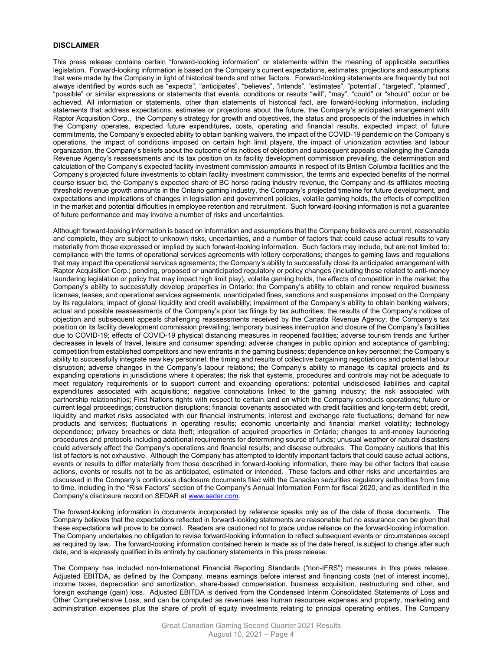#### **DISCLAIMER**

This press release contains certain "forward-looking information" or statements within the meaning of applicable securities legislation. Forward-looking information is based on the Company's current expectations, estimates, projections and assumptions that were made by the Company in light of historical trends and other factors. Forward-looking statements are frequently but not always identified by words such as "expects", "anticipates", "believes", "intends", "estimates", "potential", "targeted", "planned", "possible" or similar expressions or statements that events, conditions or results "will", "may", "could" or "should" occur or be achieved. All information or statements, other than statements of historical fact, are forward-looking information, including statements that address expectations, estimates or projections about the future, the Company's anticipated arrangement with Raptor Acquisition Corp., the Company's strategy for growth and objectives, the status and prospects of the industries in which the Company operates, expected future expenditures, costs, operating and financial results, expected impact of future commitments, the Company's expected ability to obtain banking waivers, the impact of the COVID-19 pandemic on the Company's operations, the impact of conditions imposed on certain high limit players, the impact of unionization activities and labour organization, the Company's beliefs about the outcome of its notices of objection and subsequent appeals challenging the Canada Revenue Agency's reassessments and its tax position on its facility development commission prevailing, the determination and calculation of the Company's expected facility investment commission amounts in respect of its British Columbia facilities and the Company's projected future investments to obtain facility investment commission, the terms and expected benefits of the normal course issuer bid, the Company's expected share of BC horse racing industry revenue, the Company and its affiliates meeting threshold revenue growth amounts in the Ontario gaming industry, the Company's projected timeline for future development, and expectations and implications of changes in legislation and government policies, volatile gaming holds, the effects of competition in the market and potential difficulties in employee retention and recruitment. Such forward-looking information is not a guarantee of future performance and may involve a number of risks and uncertainties.

Although forward-looking information is based on information and assumptions that the Company believes are current, reasonable and complete, they are subject to unknown risks, uncertainties, and a number of factors that could cause actual results to vary materially from those expressed or implied by such forward-looking information. Such factors may include, but are not limited to: compliance with the terms of operational services agreements with lottery corporations; changes to gaming laws and regulations that may impact the operational services agreements; the Company's ability to successfully close its anticipated arrangement with Raptor Acquisition Corp.; pending, proposed or unanticipated regulatory or policy changes (including those related to anti-money laundering legislation or policy that may impact high limit play), volatile gaming holds, the effects of competition in the market; the Company's ability to successfully develop properties in Ontario; the Company's ability to obtain and renew required business licenses, leases, and operational services agreements; unanticipated fines, sanctions and suspensions imposed on the Company by its regulators; impact of global liquidity and credit availability; impairment of the Company's ability to obtain banking waivers; actual and possible reassessments of the Company's prior tax filings by tax authorities; the results of the Company's notices of objection and subsequent appeals challenging reassessments received by the Canada Revenue Agency; the Company's tax position on its facility development commission prevailing; temporary business interruption and closure of the Company's facilities due to COVID-19; effects of COVID-19 physical distancing measures in reopened facilities; adverse tourism trends and further decreases in levels of travel, leisure and consumer spending; adverse changes in public opinion and acceptance of gambling; competition from established competitors and new entrants in the gaming business; dependence on key personnel; the Company's ability to successfully integrate new key personnel; the timing and results of collective bargaining negotiations and potential labour disruption; adverse changes in the Company's labour relations; the Company's ability to manage its capital projects and its expanding operations in jurisdictions where it operates; the risk that systems, procedures and controls may not be adequate to meet regulatory requirements or to support current and expanding operations; potential undisclosed liabilities and capital expenditures associated with acquisitions; negative connotations linked to the gaming industry; the risk associated with partnership relationships; First Nations rights with respect to certain land on which the Company conducts operations; future or current legal proceedings; construction disruptions; financial covenants associated with credit facilities and long-term debt; credit, liquidity and market risks associated with our financial instruments; interest and exchange rate fluctuations; demand for new products and services; fluctuations in operating results; economic uncertainty and financial market volatility; technology dependence; privacy breaches or data theft; integration of acquired properties in Ontario; changes to anti-money laundering procedures and protocols including additional requirements for determining source of funds; unusual weather or natural disasters could adversely affect the Company's operations and financial results; and disease outbreaks. The Company cautions that this list of factors is not exhaustive. Although the Company has attempted to identify important factors that could cause actual actions, events or results to differ materially from those described in forward-looking information, there may be other factors that cause actions, events or results not to be as anticipated, estimated or intended. These factors and other risks and uncertainties are discussed in the Company's continuous disclosure documents filed with the Canadian securities regulatory authorities from time to time, including in the "Risk Factors" section of the Company's Annual Information Form for fiscal 2020, and as identified in the Company's disclosure record on SEDAR at www.sedar.com.

The forward-looking information in documents incorporated by reference speaks only as of the date of those documents. The Company believes that the expectations reflected in forward-looking statements are reasonable but no assurance can be given that these expectations will prove to be correct. Readers are cautioned not to place undue reliance on the forward-looking information. The Company undertakes no obligation to revise forward-looking information to reflect subsequent events or circumstances except as required by law. The forward-looking information contained herein is made as of the date hereof, is subject to change after such date, and is expressly qualified in its entirety by cautionary statements in this press release.

The Company has included non-International Financial Reporting Standards ("non-IFRS") measures in this press release. Adjusted EBITDA, as defined by the Company, means earnings before interest and financing costs (net of interest income), income taxes, depreciation and amortization, share-based compensation, business acquisition, restructuring and other, and foreign exchange (gain) loss. Adjusted EBITDA is derived from the Condensed Interim Consolidated Statements of Loss and Other Comprehensive Loss, and can be computed as revenues less human resources expenses and property, marketing and administration expenses plus the share of profit of equity investments relating to principal operating entities. The Company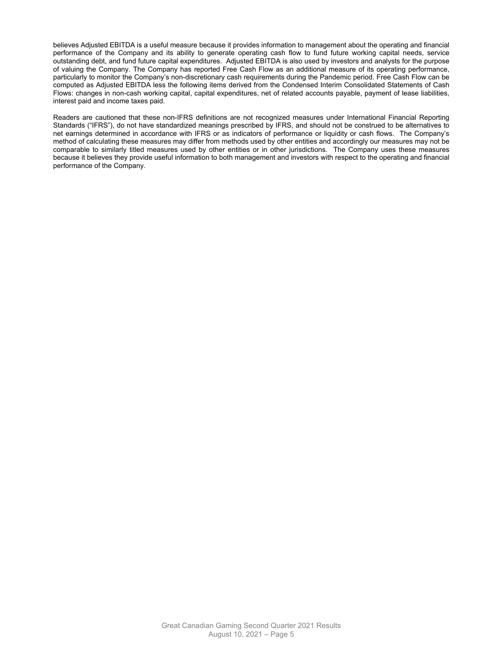believes Adjusted EBITDA is a useful measure because it provides information to management about the operating and financial performance of the Company and its ability to generate operating cash flow to fund future working capital needs, service outstanding debt, and fund future capital expenditures. Adjusted EBITDA is also used by investors and analysts for the purpose of valuing the Company. The Company has reported Free Cash Flow as an additional measure of its operating performance, particularly to monitor the Company's non-discretionary cash requirements during the Pandemic period. Free Cash Flow can be computed as Adjusted EBITDA less the following items derived from the Condensed Interim Consolidated Statements of Cash Flows: changes in non-cash working capital, capital expenditures, net of related accounts payable, payment of lease liabilities, interest paid and income taxes paid.

Readers are cautioned that these non-IFRS definitions are not recognized measures under International Financial Reporting Standards ("IFRS"), do not have standardized meanings prescribed by IFRS, and should not be construed to be alternatives to net earnings determined in accordance with IFRS or as indicators of performance or liquidity or cash flows. The Company's method of calculating these measures may differ from methods used by other entities and accordingly our measures may not be comparable to similarly titled measures used by other entities or in other jurisdictions. The Company uses these measures because it believes they provide useful information to both management and investors with respect to the operating and financial performance of the Company.